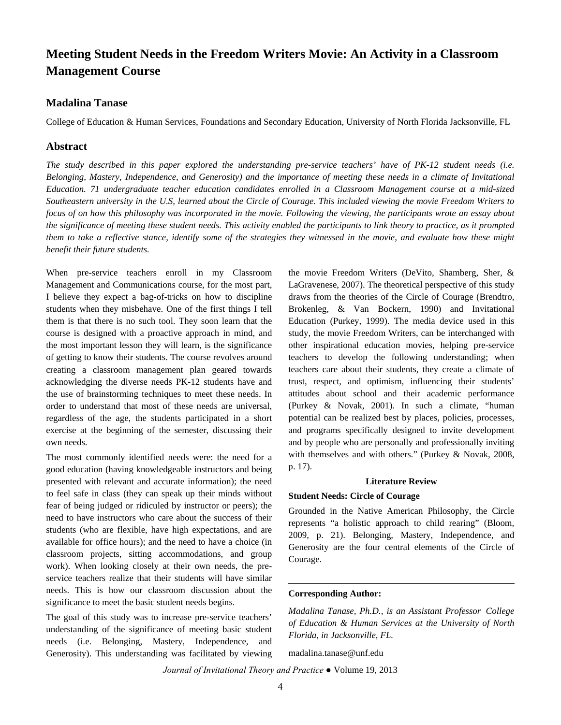# **Meeting Student Needs in the Freedom Writers Movie: An Activity in a Classroom Management Course**

# **Madalina Tanase**

College of Education & Human Services, Foundations and Secondary Education, University of North Florida Jacksonville, FL

# **Abstract**

*The study described in this paper explored the understanding pre-service teachers' have of PK-12 student needs (i.e. Belonging, Mastery, Independence, and Generosity) and the importance of meeting these needs in a climate of Invitational Education. 71 undergraduate teacher education candidates enrolled in a Classroom Management course at a mid-sized Southeastern university in the U.S, learned about the Circle of Courage. This included viewing the movie Freedom Writers to focus of on how this philosophy was incorporated in the movie. Following the viewing, the participants wrote an essay about the significance of meeting these student needs. This activity enabled the participants to link theory to practice, as it prompted them to take a reflective stance, identify some of the strategies they witnessed in the movie, and evaluate how these might benefit their future students.*

When pre-service teachers enroll in my Classroom Management and Communications course, for the most part, I believe they expect a bag-of-tricks on how to discipline students when they misbehave. One of the first things I tell them is that there is no such tool. They soon learn that the course is designed with a proactive approach in mind, and the most important lesson they will learn, is the significance of getting to know their students. The course revolves around creating a classroom management plan geared towards acknowledging the diverse needs PK-12 students have and the use of brainstorming techniques to meet these needs. In order to understand that most of these needs are universal, regardless of the age, the students participated in a short exercise at the beginning of the semester, discussing their own needs.

The most commonly identified needs were: the need for a good education (having knowledgeable instructors and being presented with relevant and accurate information); the need to feel safe in class (they can speak up their minds without fear of being judged or ridiculed by instructor or peers); the need to have instructors who care about the success of their students (who are flexible, have high expectations, and are available for office hours); and the need to have a choice (in classroom projects, sitting accommodations, and group work). When looking closely at their own needs, the preservice teachers realize that their students will have similar needs. This is how our classroom discussion about the significance to meet the basic student needs begins.

The goal of this study was to increase pre-service teachers' understanding of the significance of meeting basic student needs (i.e. Belonging, Mastery, Independence, and Generosity). This understanding was facilitated by viewing the movie Freedom Writers (DeVito, Shamberg, Sher, & LaGravenese, 2007). The theoretical perspective of this study draws from the theories of the Circle of Courage (Brendtro, Brokenleg, & Van Bockern, 1990) and Invitational Education (Purkey, 1999). The media device used in this study, the movie Freedom Writers, can be interchanged with other inspirational education movies, helping pre-service teachers to develop the following understanding; when teachers care about their students, they create a climate of trust, respect, and optimism, influencing their students' attitudes about school and their academic performance (Purkey & Novak, 2001). In such a climate, "human potential can be realized best by places, policies, processes, and programs specifically designed to invite development and by people who are personally and professionally inviting with themselves and with others." (Purkey & Novak, 2008, p. 17).

#### **Literature Review**

#### **Student Needs: Circle of Courage**

Grounded in the Native American Philosophy, the Circle represents "a holistic approach to child rearing" (Bloom, 2009, p. 21). Belonging, Mastery, Independence, and Generosity are the four central elements of the Circle of Courage.

## **Corresponding Author:**

*Madalina Tanase, Ph.D., is an Assistant Professor College of Education & Human Services at the University of North Florida, in Jacksonville, FL.*

madalina.tanase@unf.edu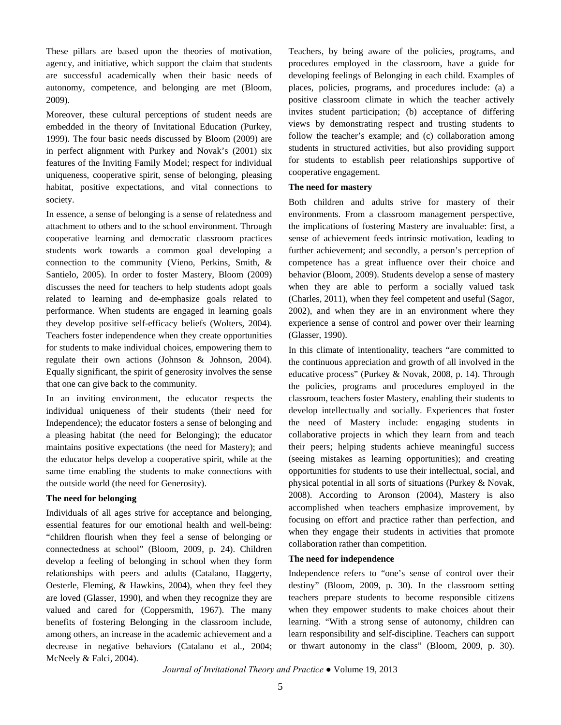These pillars are based upon the theories of motivation, agency, and initiative, which support the claim that students are successful academically when their basic needs of autonomy, competence, and belonging are met (Bloom, 2009).

Moreover, these cultural perceptions of student needs are embedded in the theory of Invitational Education (Purkey, 1999). The four basic needs discussed by Bloom (2009) are in perfect alignment with Purkey and Novak's (2001) six features of the Inviting Family Model; respect for individual uniqueness, cooperative spirit, sense of belonging, pleasing habitat, positive expectations, and vital connections to society.

In essence, a sense of belonging is a sense of relatedness and attachment to others and to the school environment. Through cooperative learning and democratic classroom practices students work towards a common goal developing a connection to the community (Vieno, Perkins, Smith, & Santielo, 2005). In order to foster Mastery, Bloom (2009) discusses the need for teachers to help students adopt goals related to learning and de-emphasize goals related to performance. When students are engaged in learning goals they develop positive self-efficacy beliefs (Wolters, 2004). Teachers foster independence when they create opportunities for students to make individual choices, empowering them to regulate their own actions (Johnson & Johnson, 2004). Equally significant, the spirit of generosity involves the sense that one can give back to the community.

In an inviting environment, the educator respects the individual uniqueness of their students (their need for Independence); the educator fosters a sense of belonging and a pleasing habitat (the need for Belonging); the educator maintains positive expectations (the need for Mastery); and the educator helps develop a cooperative spirit, while at the same time enabling the students to make connections with the outside world (the need for Generosity).

### **The need for belonging**

Individuals of all ages strive for acceptance and belonging, essential features for our emotional health and well-being: "children flourish when they feel a sense of belonging or connectedness at school" (Bloom, 2009, p. 24). Children develop a feeling of belonging in school when they form relationships with peers and adults (Catalano, Haggerty, Oesterle, Fleming, & Hawkins, 2004), when they feel they are loved (Glasser, 1990), and when they recognize they are valued and cared for (Coppersmith, 1967). The many benefits of fostering Belonging in the classroom include, among others, an increase in the academic achievement and a decrease in negative behaviors (Catalano et al., 2004; McNeely & Falci, 2004).

Teachers, by being aware of the policies, programs, and procedures employed in the classroom, have a guide for developing feelings of Belonging in each child. Examples of places, policies, programs, and procedures include: (a) a positive classroom climate in which the teacher actively invites student participation; (b) acceptance of differing views by demonstrating respect and trusting students to follow the teacher's example; and (c) collaboration among students in structured activities, but also providing support for students to establish peer relationships supportive of cooperative engagement.

# **The need for mastery**

Both children and adults strive for mastery of their environments. From a classroom management perspective, the implications of fostering Mastery are invaluable: first, a sense of achievement feeds intrinsic motivation, leading to further achievement; and secondly, a person's perception of competence has a great influence over their choice and behavior (Bloom, 2009). Students develop a sense of mastery when they are able to perform a socially valued task (Charles, 2011), when they feel competent and useful (Sagor, 2002), and when they are in an environment where they experience a sense of control and power over their learning (Glasser, 1990).

In this climate of intentionality, teachers "are committed to the continuous appreciation and growth of all involved in the educative process" (Purkey & Novak, 2008, p. 14). Through the policies, programs and procedures employed in the classroom, teachers foster Mastery, enabling their students to develop intellectually and socially. Experiences that foster the need of Mastery include: engaging students in collaborative projects in which they learn from and teach their peers; helping students achieve meaningful success (seeing mistakes as learning opportunities); and creating opportunities for students to use their intellectual, social, and physical potential in all sorts of situations (Purkey & Novak, 2008). According to Aronson (2004), Mastery is also accomplished when teachers emphasize improvement, by focusing on effort and practice rather than perfection, and when they engage their students in activities that promote collaboration rather than competition.

#### **The need for independence**

Independence refers to "one's sense of control over their destiny" (Bloom, 2009, p. 30). In the classroom setting teachers prepare students to become responsible citizens when they empower students to make choices about their learning. "With a strong sense of autonomy, children can learn responsibility and self-discipline. Teachers can support or thwart autonomy in the class" (Bloom, 2009, p. 30).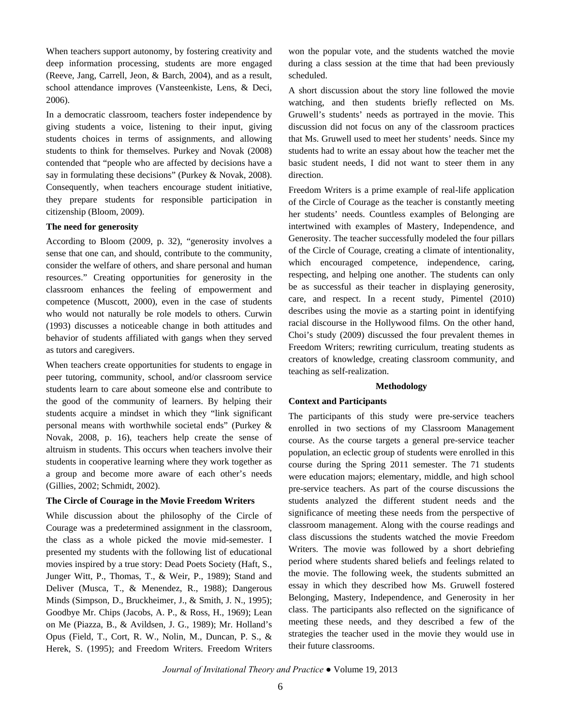When teachers support autonomy, by fostering creativity and deep information processing, students are more engaged (Reeve, Jang, Carrell, Jeon, & Barch, 2004), and as a result, school attendance improves (Vansteenkiste, Lens, & Deci, 2006).

In a democratic classroom, teachers foster independence by giving students a voice, listening to their input, giving students choices in terms of assignments, and allowing students to think for themselves. Purkey and Novak (2008) contended that "people who are affected by decisions have a say in formulating these decisions" (Purkey & Novak, 2008). Consequently, when teachers encourage student initiative, they prepare students for responsible participation in citizenship (Bloom, 2009).

## **The need for generosity**

According to Bloom (2009, p. 32), "generosity involves a sense that one can, and should, contribute to the community, consider the welfare of others, and share personal and human resources." Creating opportunities for generosity in the classroom enhances the feeling of empowerment and competence (Muscott, 2000), even in the case of students who would not naturally be role models to others. Curwin (1993) discusses a noticeable change in both attitudes and behavior of students affiliated with gangs when they served as tutors and caregivers.

When teachers create opportunities for students to engage in peer tutoring, community, school, and/or classroom service students learn to care about someone else and contribute to the good of the community of learners. By helping their students acquire a mindset in which they "link significant personal means with worthwhile societal ends" (Purkey & Novak, 2008, p. 16), teachers help create the sense of altruism in students. This occurs when teachers involve their students in cooperative learning where they work together as a group and become more aware of each other's needs (Gillies, 2002; Schmidt, 2002).

#### **The Circle of Courage in the Movie Freedom Writers**

While discussion about the philosophy of the Circle of Courage was a predetermined assignment in the classroom, the class as a whole picked the movie mid-semester. I presented my students with the following list of educational movies inspired by a true story: Dead Poets Society (Haft, S., Junger Witt, P., Thomas, T., & Weir, P., 1989); Stand and Deliver (Musca, T., & Menendez, R., 1988); Dangerous Minds (Simpson, D., Bruckheimer, J., & Smith, J. N., 1995); Goodbye Mr. Chips (Jacobs, A. P., & Ross, H., 1969); Lean on Me (Piazza, B., & Avildsen, J. G., 1989); Mr. Holland's Opus (Field, T., Cort, R. W., Nolin, M., Duncan, P. S., & Herek, S. (1995); and Freedom Writers. Freedom Writers

won the popular vote, and the students watched the movie during a class session at the time that had been previously scheduled.

A short discussion about the story line followed the movie watching, and then students briefly reflected on Ms. Gruwell's students' needs as portrayed in the movie. This discussion did not focus on any of the classroom practices that Ms. Gruwell used to meet her students' needs. Since my students had to write an essay about how the teacher met the basic student needs, I did not want to steer them in any direction.

Freedom Writers is a prime example of real-life application of the Circle of Courage as the teacher is constantly meeting her students' needs. Countless examples of Belonging are intertwined with examples of Mastery, Independence, and Generosity. The teacher successfully modeled the four pillars of the Circle of Courage, creating a climate of intentionality, which encouraged competence, independence, caring, respecting, and helping one another. The students can only be as successful as their teacher in displaying generosity, care, and respect. In a recent study, Pimentel (2010) describes using the movie as a starting point in identifying racial discourse in the Hollywood films. On the other hand, Choi's study (2009) discussed the four prevalent themes in Freedom Writers; rewriting curriculum, treating students as creators of knowledge, creating classroom community, and teaching as self-realization.

#### **Methodology**

#### **Context and Participants**

The participants of this study were pre-service teachers enrolled in two sections of my Classroom Management course. As the course targets a general pre-service teacher population, an eclectic group of students were enrolled in this course during the Spring 2011 semester. The 71 students were education majors; elementary, middle, and high school pre-service teachers. As part of the course discussions the students analyzed the different student needs and the significance of meeting these needs from the perspective of classroom management. Along with the course readings and class discussions the students watched the movie Freedom Writers. The movie was followed by a short debriefing period where students shared beliefs and feelings related to the movie. The following week, the students submitted an essay in which they described how Ms. Gruwell fostered Belonging, Mastery, Independence, and Generosity in her class. The participants also reflected on the significance of meeting these needs, and they described a few of the strategies the teacher used in the movie they would use in their future classrooms.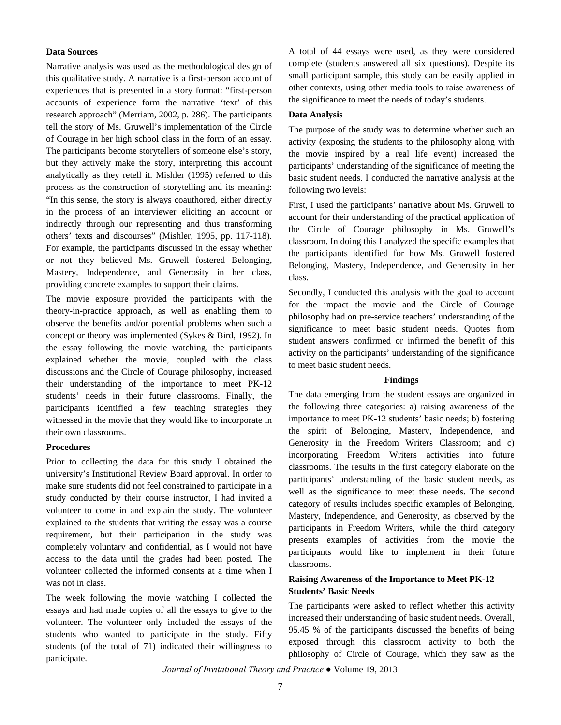#### **Data Sources**

Narrative analysis was used as the methodological design of this qualitative study. A narrative is a first-person account of experiences that is presented in a story format: "first-person accounts of experience form the narrative 'text' of this research approach" (Merriam, 2002, p. 286). The participants tell the story of Ms. Gruwell's implementation of the Circle of Courage in her high school class in the form of an essay. The participants become storytellers of someone else's story, but they actively make the story, interpreting this account analytically as they retell it. Mishler (1995) referred to this process as the construction of storytelling and its meaning: "In this sense, the story is always coauthored, either directly in the process of an interviewer eliciting an account or indirectly through our representing and thus transforming others' texts and discourses" (Mishler, 1995, pp. 117-118). For example, the participants discussed in the essay whether or not they believed Ms. Gruwell fostered Belonging, Mastery, Independence, and Generosity in her class, providing concrete examples to support their claims.

The movie exposure provided the participants with the theory-in-practice approach, as well as enabling them to observe the benefits and/or potential problems when such a concept or theory was implemented (Sykes & Bird, 1992). In the essay following the movie watching, the participants explained whether the movie, coupled with the class discussions and the Circle of Courage philosophy, increased their understanding of the importance to meet PK-12 students' needs in their future classrooms. Finally, the participants identified a few teaching strategies they witnessed in the movie that they would like to incorporate in their own classrooms.

#### **Procedures**

Prior to collecting the data for this study I obtained the university's Institutional Review Board approval. In order to make sure students did not feel constrained to participate in a study conducted by their course instructor, I had invited a volunteer to come in and explain the study. The volunteer explained to the students that writing the essay was a course requirement, but their participation in the study was completely voluntary and confidential, as I would not have access to the data until the grades had been posted. The volunteer collected the informed consents at a time when I was not in class.

The week following the movie watching I collected the essays and had made copies of all the essays to give to the volunteer. The volunteer only included the essays of the students who wanted to participate in the study. Fifty students (of the total of 71) indicated their willingness to participate.

A total of 44 essays were used, as they were considered complete (students answered all six questions). Despite its small participant sample, this study can be easily applied in other contexts, using other media tools to raise awareness of the significance to meet the needs of today's students.

#### **Data Analysis**

The purpose of the study was to determine whether such an activity (exposing the students to the philosophy along with the movie inspired by a real life event) increased the participants' understanding of the significance of meeting the basic student needs. I conducted the narrative analysis at the following two levels:

First, I used the participants' narrative about Ms. Gruwell to account for their understanding of the practical application of the Circle of Courage philosophy in Ms. Gruwell's classroom. In doing this I analyzed the specific examples that the participants identified for how Ms. Gruwell fostered Belonging, Mastery, Independence, and Generosity in her class.

Secondly, I conducted this analysis with the goal to account for the impact the movie and the Circle of Courage philosophy had on pre-service teachers' understanding of the significance to meet basic student needs. Quotes from student answers confirmed or infirmed the benefit of this activity on the participants' understanding of the significance to meet basic student needs.

#### **Findings**

The data emerging from the student essays are organized in the following three categories: a) raising awareness of the importance to meet PK-12 students' basic needs; b) fostering the spirit of Belonging, Mastery, Independence, and Generosity in the Freedom Writers Classroom; and c) incorporating Freedom Writers activities into future classrooms. The results in the first category elaborate on the participants' understanding of the basic student needs, as well as the significance to meet these needs. The second category of results includes specific examples of Belonging, Mastery, Independence, and Generosity, as observed by the participants in Freedom Writers, while the third category presents examples of activities from the movie the participants would like to implement in their future classrooms.

## **Raising Awareness of the Importance to Meet PK-12 Students' Basic Needs**

The participants were asked to reflect whether this activity increased their understanding of basic student needs. Overall, 95.45 % of the participants discussed the benefits of being exposed through this classroom activity to both the philosophy of Circle of Courage, which they saw as the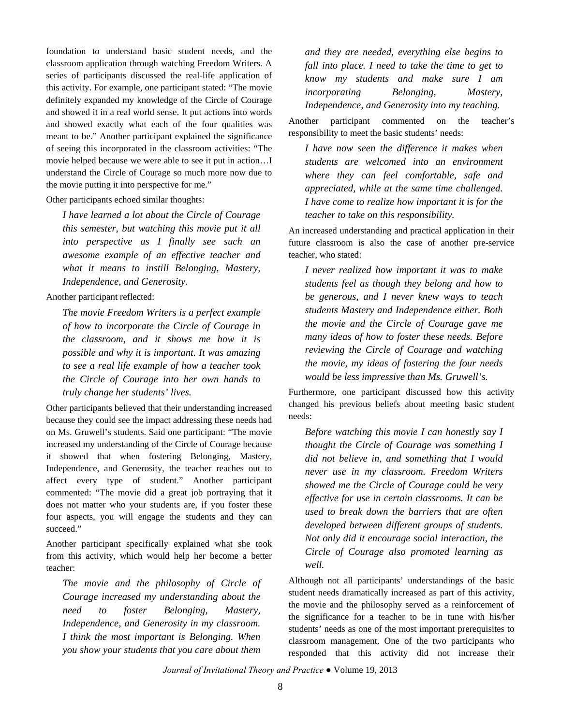foundation to understand basic student needs, and the classroom application through watching Freedom Writers. A series of participants discussed the real-life application of this activity. For example, one participant stated: "The movie definitely expanded my knowledge of the Circle of Courage and showed it in a real world sense. It put actions into words and showed exactly what each of the four qualities was meant to be." Another participant explained the significance of seeing this incorporated in the classroom activities: "The movie helped because we were able to see it put in action…I understand the Circle of Courage so much more now due to the movie putting it into perspective for me."

Other participants echoed similar thoughts:

*I have learned a lot about the Circle of Courage this semester, but watching this movie put it all into perspective as I finally see such an awesome example of an effective teacher and what it means to instill Belonging, Mastery, Independence, and Generosity.*

Another participant reflected:

*The movie Freedom Writers is a perfect example of how to incorporate the Circle of Courage in the classroom, and it shows me how it is possible and why it is important. It was amazing to see a real life example of how a teacher took the Circle of Courage into her own hands to truly change her students' lives.*

Other participants believed that their understanding increased because they could see the impact addressing these needs had on Ms. Gruwell's students. Said one participant: "The movie increased my understanding of the Circle of Courage because it showed that when fostering Belonging, Mastery, Independence, and Generosity, the teacher reaches out to affect every type of student." Another participant commented: "The movie did a great job portraying that it does not matter who your students are, if you foster these four aspects, you will engage the students and they can succeed."

Another participant specifically explained what she took from this activity, which would help her become a better teacher:

*The movie and the philosophy of Circle of Courage increased my understanding about the need to foster Belonging, Mastery, Independence, and Generosity in my classroom. I think the most important is Belonging. When you show your students that you care about them* 

*and they are needed, everything else begins to fall into place. I need to take the time to get to know my students and make sure I am incorporating Belonging, Mastery, Independence, and Generosity into my teaching.*

Another participant commented on the teacher's responsibility to meet the basic students' needs:

*I have now seen the difference it makes when students are welcomed into an environment where they can feel comfortable, safe and appreciated, while at the same time challenged. I have come to realize how important it is for the teacher to take on this responsibility.*

An increased understanding and practical application in their future classroom is also the case of another pre-service teacher, who stated:

*I never realized how important it was to make students feel as though they belong and how to be generous, and I never knew ways to teach students Mastery and Independence either. Both the movie and the Circle of Courage gave me many ideas of how to foster these needs. Before reviewing the Circle of Courage and watching the movie, my ideas of fostering the four needs would be less impressive than Ms. Gruwell's.*

Furthermore, one participant discussed how this activity changed his previous beliefs about meeting basic student needs:

*Before watching this movie I can honestly say I thought the Circle of Courage was something I did not believe in, and something that I would never use in my classroom. Freedom Writers showed me the Circle of Courage could be very effective for use in certain classrooms. It can be used to break down the barriers that are often developed between different groups of students. Not only did it encourage social interaction, the Circle of Courage also promoted learning as well.*

Although not all participants' understandings of the basic student needs dramatically increased as part of this activity, the movie and the philosophy served as a reinforcement of the significance for a teacher to be in tune with his/her students' needs as one of the most important prerequisites to classroom management. One of the two participants who responded that this activity did not increase their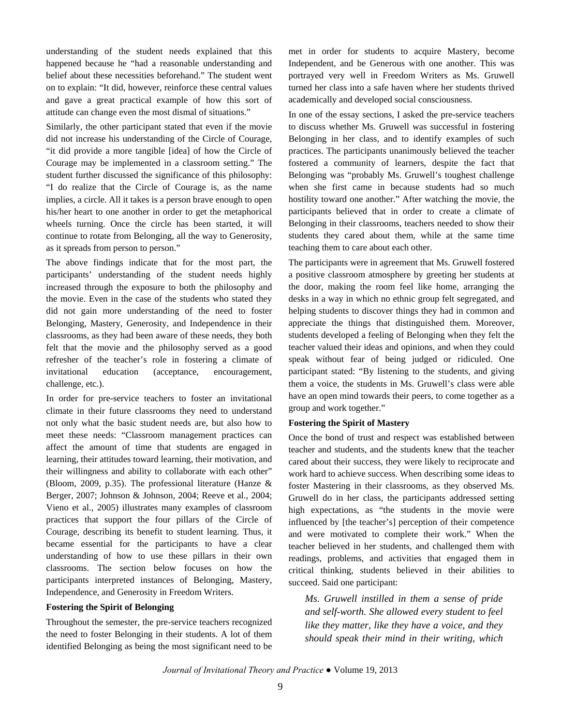understanding of the student needs explained that this happened because he "had a reasonable understanding and belief about these necessities beforehand." The student went on to explain: "It did, however, reinforce these central values and gave a great practical example of how this sort of attitude can change even the most dismal of situations."

Similarly, the other participant stated that even if the movie did not increase his understanding of the Circle of Courage, "it did provide a more tangible [idea] of how the Circle of Courage may be implemented in a classroom setting." The student further discussed the significance of this philosophy: "I do realize that the Circle of Courage is, as the name implies, a circle. All it takes is a person brave enough to open his/her heart to one another in order to get the metaphorical wheels turning. Once the circle has been started, it will continue to rotate from Belonging, all the way to Generosity, as it spreads from person to person."

The above findings indicate that for the most part, the participants' understanding of the student needs highly increased through the exposure to both the philosophy and the movie. Even in the case of the students who stated they did not gain more understanding of the need to foster Belonging, Mastery, Generosity, and Independence in their classrooms, as they had been aware of these needs, they both felt that the movie and the philosophy served as a good refresher of the teacher's role in fostering a climate of invitational education (acceptance, encouragement, challenge, etc.).

In order for pre-service teachers to foster an invitational climate in their future classrooms they need to understand not only what the basic student needs are, but also how to meet these needs: "Classroom management practices can affect the amount of time that students are engaged in learning, their attitudes toward learning, their motivation, and their willingness and ability to collaborate with each other" (Bloom, 2009, p.35). The professional literature (Hanze & Berger, 2007; Johnson & Johnson, 2004; Reeve et al., 2004; Vieno et al., 2005) illustrates many examples of classroom practices that support the four pillars of the Circle of Courage, describing its benefit to student learning. Thus, it became essential for the participants to have a clear understanding of how to use these pillars in their own classrooms. The section below focuses on how the participants interpreted instances of Belonging, Mastery, Independence, and Generosity in Freedom Writers.

#### **Fostering the Spirit of Belonging**

Throughout the semester, the pre-service teachers recognized the need to foster Belonging in their students. A lot of them identified Belonging as being the most significant need to be met in order for students to acquire Mastery, become Independent, and be Generous with one another. This was portrayed very well in Freedom Writers as Ms. Gruwell turned her class into a safe haven where her students thrived academically and developed social consciousness.

In one of the essay sections, I asked the pre-service teachers to discuss whether Ms. Gruwell was successful in fostering Belonging in her class, and to identify examples of such practices. The participants unanimously believed the teacher fostered a community of learners, despite the fact that Belonging was "probably Ms. Gruwell's toughest challenge when she first came in because students had so much hostility toward one another." After watching the movie, the participants believed that in order to create a climate of Belonging in their classrooms, teachers needed to show their students they cared about them, while at the same time teaching them to care about each other.

The participants were in agreement that Ms. Gruwell fostered a positive classroom atmosphere by greeting her students at the door, making the room feel like home, arranging the desks in a way in which no ethnic group felt segregated, and helping students to discover things they had in common and appreciate the things that distinguished them. Moreover, students developed a feeling of Belonging when they felt the teacher valued their ideas and opinions, and when they could speak without fear of being judged or ridiculed. One participant stated: "By listening to the students, and giving them a voice, the students in Ms. Gruwell's class were able have an open mind towards their peers, to come together as a group and work together."

#### **Fostering the Spirit of Mastery**

Once the bond of trust and respect was established between teacher and students, and the students knew that the teacher cared about their success, they were likely to reciprocate and work hard to achieve success. When describing some ideas to foster Mastering in their classrooms, as they observed Ms. Gruwell do in her class, the participants addressed setting high expectations, as "the students in the movie were influenced by [the teacher's] perception of their competence and were motivated to complete their work." When the teacher believed in her students, and challenged them with readings, problems, and activities that engaged them in critical thinking, students believed in their abilities to succeed. Said one participant:

*Ms. Gruwell instilled in them a sense of pride and self-worth. She allowed every student to feel like they matter, like they have a voice, and they should speak their mind in their writing, which*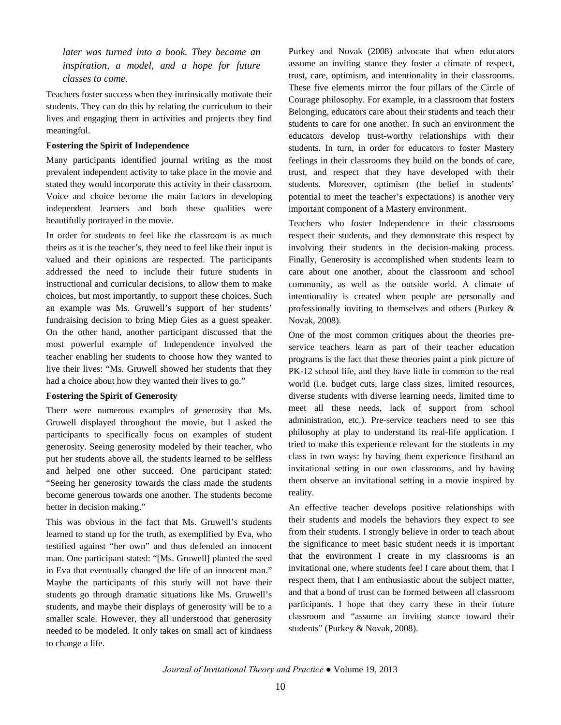*later was turned into a book. They became an inspiration, a model, and a hope for future classes to come.*

Teachers foster success when they intrinsically motivate their students. They can do this by relating the curriculum to their lives and engaging them in activities and projects they find meaningful.

#### **Fostering the Spirit of Independence**

Many participants identified journal writing as the most prevalent independent activity to take place in the movie and stated they would incorporate this activity in their classroom. Voice and choice become the main factors in developing independent learners and both these qualities were beautifully portrayed in the movie.

In order for students to feel like the classroom is as much theirs as it is the teacher's, they need to feel like their input is valued and their opinions are respected. The participants addressed the need to include their future students in instructional and curricular decisions, to allow them to make choices, but most importantly, to support these choices. Such an example was Ms. Gruwell's support of her students' fundraising decision to bring Miep Gies as a guest speaker. On the other hand, another participant discussed that the most powerful example of Independence involved the teacher enabling her students to choose how they wanted to live their lives: "Ms. Gruwell showed her students that they had a choice about how they wanted their lives to go."

#### **Fostering the Spirit of Generosity**

There were numerous examples of generosity that Ms. Gruwell displayed throughout the movie, but I asked the participants to specifically focus on examples of student generosity. Seeing generosity modeled by their teacher, who put her students above all, the students learned to be selfless and helped one other succeed. One participant stated: "Seeing her generosity towards the class made the students become generous towards one another. The students become better in decision making."

This was obvious in the fact that Ms. Gruwell's students learned to stand up for the truth, as exemplified by Eva, who testified against "her own" and thus defended an innocent man. One participant stated: "[Ms. Gruwell] planted the seed in Eva that eventually changed the life of an innocent man." Maybe the participants of this study will not have their students go through dramatic situations like Ms. Gruwell's students, and maybe their displays of generosity will be to a smaller scale. However, they all understood that generosity needed to be modeled. It only takes on small act of kindness to change a life.

Purkey and Novak (2008) advocate that when educators assume an inviting stance they foster a climate of respect, trust, care, optimism, and intentionality in their classrooms. These five elements mirror the four pillars of the Circle of Courage philosophy. For example, in a classroom that fosters Belonging, educators care about their students and teach their students to care for one another. In such an environment the educators develop trust-worthy relationships with their students. In turn, in order for educators to foster Mastery feelings in their classrooms they build on the bonds of care, trust, and respect that they have developed with their students. Moreover, optimism (the belief in students' potential to meet the teacher's expectations) is another very important component of a Mastery environment.

Teachers who foster Independence in their classrooms respect their students, and they demonstrate this respect by involving their students in the decision-making process. Finally, Generosity is accomplished when students learn to care about one another, about the classroom and school community, as well as the outside world. A climate of intentionality is created when people are personally and professionally inviting to themselves and others (Purkey & Novak, 2008).

One of the most common critiques about the theories preservice teachers learn as part of their teacher education programs is the fact that these theories paint a pink picture of PK-12 school life, and they have little in common to the real world (i.e. budget cuts, large class sizes, limited resources, diverse students with diverse learning needs, limited time to meet all these needs, lack of support from school administration, etc.). Pre-service teachers need to see this philosophy at play to understand its real-life application. I tried to make this experience relevant for the students in my class in two ways: by having them experience firsthand an invitational setting in our own classrooms, and by having them observe an invitational setting in a movie inspired by reality.

An effective teacher develops positive relationships with their students and models the behaviors they expect to see from their students. I strongly believe in order to teach about the significance to meet basic student needs it is important that the environment I create in my classrooms is an invitational one, where students feel I care about them, that I respect them, that I am enthusiastic about the subject matter, and that a bond of trust can be formed between all classroom participants. I hope that they carry these in their future classroom and "assume an inviting stance toward their students" (Purkey & Novak, 2008).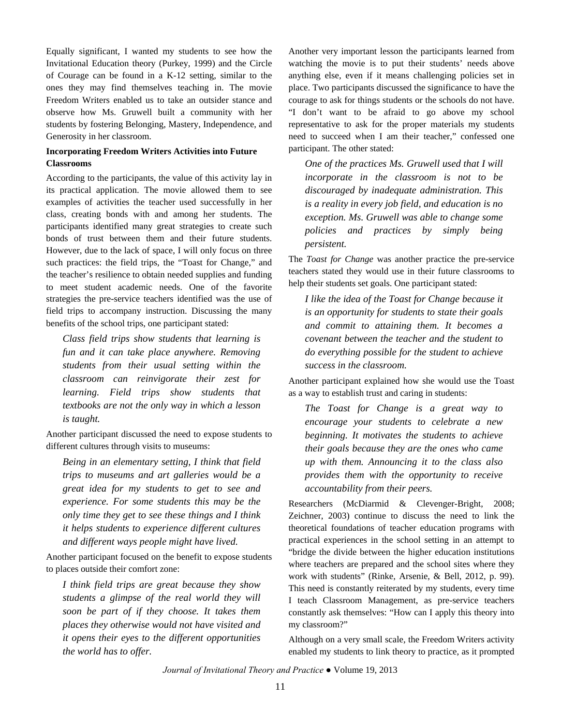Equally significant, I wanted my students to see how the Invitational Education theory (Purkey, 1999) and the Circle of Courage can be found in a K-12 setting, similar to the ones they may find themselves teaching in. The movie Freedom Writers enabled us to take an outsider stance and observe how Ms. Gruwell built a community with her students by fostering Belonging, Mastery, Independence, and Generosity in her classroom.

## **Incorporating Freedom Writers Activities into Future Classrooms**

According to the participants, the value of this activity lay in its practical application. The movie allowed them to see examples of activities the teacher used successfully in her class, creating bonds with and among her students. The participants identified many great strategies to create such bonds of trust between them and their future students. However, due to the lack of space, I will only focus on three such practices: the field trips, the "Toast for Change," and the teacher's resilience to obtain needed supplies and funding to meet student academic needs. One of the favorite strategies the pre-service teachers identified was the use of field trips to accompany instruction. Discussing the many benefits of the school trips, one participant stated:

*Class field trips show students that learning is fun and it can take place anywhere. Removing students from their usual setting within the classroom can reinvigorate their zest for learning. Field trips show students that textbooks are not the only way in which a lesson is taught.*

Another participant discussed the need to expose students to different cultures through visits to museums:

*Being in an elementary setting, I think that field trips to museums and art galleries would be a great idea for my students to get to see and experience. For some students this may be the only time they get to see these things and I think it helps students to experience different cultures and different ways people might have lived.*

Another participant focused on the benefit to expose students to places outside their comfort zone:

*I think field trips are great because they show students a glimpse of the real world they will soon be part of if they choose. It takes them places they otherwise would not have visited and it opens their eyes to the different opportunities the world has to offer.*

Another very important lesson the participants learned from watching the movie is to put their students' needs above anything else, even if it means challenging policies set in place. Two participants discussed the significance to have the courage to ask for things students or the schools do not have. "I don't want to be afraid to go above my school representative to ask for the proper materials my students need to succeed when I am their teacher," confessed one participant. The other stated:

*One of the practices Ms. Gruwell used that I will incorporate in the classroom is not to be discouraged by inadequate administration. This is a reality in every job field, and education is no exception. Ms. Gruwell was able to change some policies and practices by simply being persistent.*

The *Toast for Change* was another practice the pre-service teachers stated they would use in their future classrooms to help their students set goals. One participant stated:

*I like the idea of the Toast for Change because it is an opportunity for students to state their goals and commit to attaining them. It becomes a covenant between the teacher and the student to do everything possible for the student to achieve success in the classroom.*

Another participant explained how she would use the Toast as a way to establish trust and caring in students:

*The Toast for Change is a great way to encourage your students to celebrate a new beginning. It motivates the students to achieve their goals because they are the ones who came up with them. Announcing it to the class also provides them with the opportunity to receive accountability from their peers.*

Researchers (McDiarmid & Clevenger-Bright, 2008; Zeichner, 2003) continue to discuss the need to link the theoretical foundations of teacher education programs with practical experiences in the school setting in an attempt to "bridge the divide between the higher education institutions where teachers are prepared and the school sites where they work with students" (Rinke, Arsenie, & Bell, 2012, p. 99). This need is constantly reiterated by my students, every time I teach Classroom Management, as pre-service teachers constantly ask themselves: "How can I apply this theory into my classroom?"

Although on a very small scale, the Freedom Writers activity enabled my students to link theory to practice, as it prompted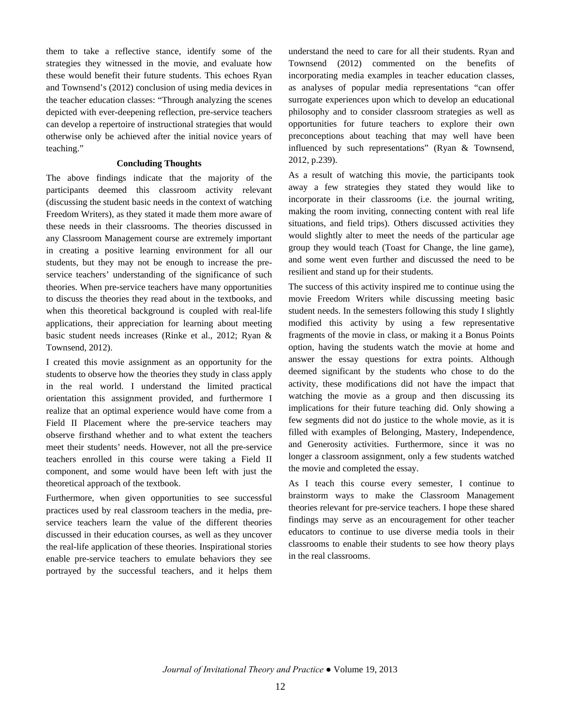them to take a reflective stance, identify some of the strategies they witnessed in the movie, and evaluate how these would benefit their future students. This echoes Ryan and Townsend's (2012) conclusion of using media devices in the teacher education classes: "Through analyzing the scenes depicted with ever-deepening reflection, pre-service teachers can develop a repertoire of instructional strategies that would otherwise only be achieved after the initial novice years of teaching."

#### **Concluding Thoughts**

The above findings indicate that the majority of the participants deemed this classroom activity relevant (discussing the student basic needs in the context of watching Freedom Writers), as they stated it made them more aware of these needs in their classrooms. The theories discussed in any Classroom Management course are extremely important in creating a positive learning environment for all our students, but they may not be enough to increase the preservice teachers' understanding of the significance of such theories. When pre-service teachers have many opportunities to discuss the theories they read about in the textbooks, and when this theoretical background is coupled with real-life applications, their appreciation for learning about meeting basic student needs increases (Rinke et al., 2012; Ryan & Townsend, 2012).

I created this movie assignment as an opportunity for the students to observe how the theories they study in class apply in the real world. I understand the limited practical orientation this assignment provided, and furthermore I realize that an optimal experience would have come from a Field II Placement where the pre-service teachers may observe firsthand whether and to what extent the teachers meet their students' needs. However, not all the pre-service teachers enrolled in this course were taking a Field II component, and some would have been left with just the theoretical approach of the textbook.

Furthermore, when given opportunities to see successful practices used by real classroom teachers in the media, preservice teachers learn the value of the different theories discussed in their education courses, as well as they uncover the real-life application of these theories. Inspirational stories enable pre-service teachers to emulate behaviors they see portrayed by the successful teachers, and it helps them

understand the need to care for all their students. Ryan and Townsend (2012) commented on the benefits of incorporating media examples in teacher education classes, as analyses of popular media representations "can offer surrogate experiences upon which to develop an educational philosophy and to consider classroom strategies as well as opportunities for future teachers to explore their own preconceptions about teaching that may well have been influenced by such representations" (Ryan & Townsend, 2012, p.239).

As a result of watching this movie, the participants took away a few strategies they stated they would like to incorporate in their classrooms (i.e. the journal writing, making the room inviting, connecting content with real life situations, and field trips). Others discussed activities they would slightly alter to meet the needs of the particular age group they would teach (Toast for Change, the line game), and some went even further and discussed the need to be resilient and stand up for their students.

The success of this activity inspired me to continue using the movie Freedom Writers while discussing meeting basic student needs. In the semesters following this study I slightly modified this activity by using a few representative fragments of the movie in class, or making it a Bonus Points option, having the students watch the movie at home and answer the essay questions for extra points. Although deemed significant by the students who chose to do the activity, these modifications did not have the impact that watching the movie as a group and then discussing its implications for their future teaching did. Only showing a few segments did not do justice to the whole movie, as it is filled with examples of Belonging, Mastery, Independence, and Generosity activities. Furthermore, since it was no longer a classroom assignment, only a few students watched the movie and completed the essay.

As I teach this course every semester, I continue to brainstorm ways to make the Classroom Management theories relevant for pre-service teachers. I hope these shared findings may serve as an encouragement for other teacher educators to continue to use diverse media tools in their classrooms to enable their students to see how theory plays in the real classrooms.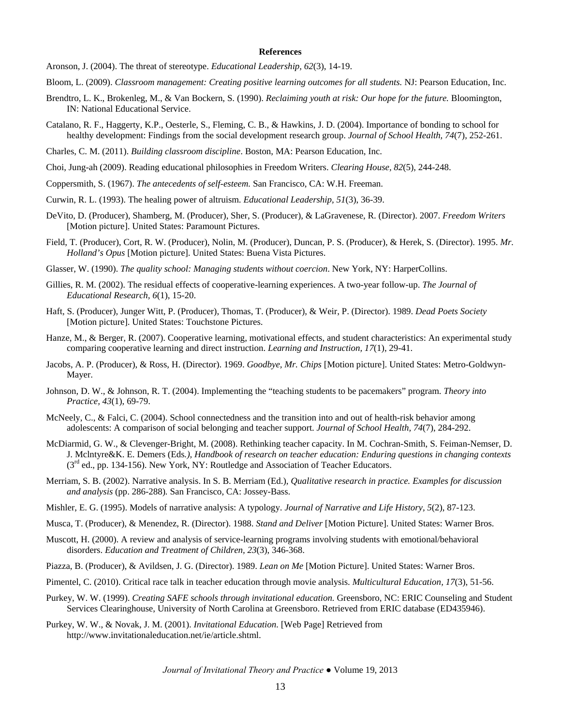#### **References**

- Aronson, J. (2004). The threat of stereotype. *Educational Leadership, 62*(3), 14-19.
- Bloom, L. (2009). *Classroom management: Creating positive learning outcomes for all students.* NJ: Pearson Education, Inc.
- Brendtro, L. K., Brokenleg, M., & Van Bockern, S. (1990). *Reclaiming youth at risk: Our hope for the future.* Bloomington, IN: National Educational Service.
- Catalano, R. F., Haggerty, K.P., Oesterle, S., Fleming, C. B., & Hawkins, J. D. (2004). Importance of bonding to school for healthy development: Findings from the social development research group. *Journal of School Health, 74*(7), 252-261.
- Charles, C. M. (2011). *Building classroom discipline*. Boston, MA: Pearson Education, Inc.
- Choi, Jung-ah (2009). Reading educational philosophies in Freedom Writers. *Clearing House, 82*(5), 244-248.
- Coppersmith, S. (1967). *The antecedents of self-esteem.* San Francisco, CA: W.H. Freeman.
- Curwin, R. L. (1993). The healing power of altruism. *Educational Leadership, 51*(3), 36-39.
- DeVito, D. (Producer), Shamberg, M. (Producer), Sher, S. (Producer), & LaGravenese, R. (Director). 2007. *Freedom Writers* [Motion picture]. United States: Paramount Pictures.
- Field, T. (Producer), Cort, R. W. (Producer), Nolin, M. (Producer), Duncan, P. S. (Producer), & Herek, S. (Director). 1995. *Mr. Holland's Opus* [Motion picture]. United States: Buena Vista Pictures.
- Glasser, W. (1990). *The quality school: Managing students without coercion*. New York, NY: HarperCollins.
- Gillies, R. M. (2002). The residual effects of cooperative-learning experiences. A two-year follow-up. *The Journal of Educational Research, 6*(1), 15-20.
- Haft, S. (Producer), Junger Witt, P. (Producer), Thomas, T. (Producer), & Weir, P. (Director). 1989. *Dead Poets Society* [Motion picture]. United States: Touchstone Pictures.
- Hanze, M., & Berger, R. (2007). Cooperative learning, motivational effects, and student characteristics: An experimental study comparing cooperative learning and direct instruction. *Learning and Instruction, 17*(1), 29-41.
- Jacobs, A. P. (Producer), & Ross, H. (Director). 1969. *Goodbye, Mr. Chips* [Motion picture]. United States: Metro-Goldwyn-Mayer.
- Johnson, D. W., & Johnson, R. T. (2004). Implementing the "teaching students to be pacemakers" program. *Theory into Practice, 43*(1), 69-79.
- McNeely, C., & Falci, C. (2004). School connectedness and the transition into and out of health-risk behavior among adolescents: A comparison of social belonging and teacher support. *Journal of School Health, 74*(7), 284-292.
- McDiarmid, G. W., & Clevenger-Bright, M. (2008). Rethinking teacher capacity. In M. Cochran-Smith, S. Feiman-Nemser, D. J. Mclntyre&K. E. Demers (Eds*.), Handbook of research on teacher education: Enduring questions in changing contexts* (3<sup>rd</sup> ed., pp. 134-156). New York, NY: Routledge and Association of Teacher Educators.
- Merriam, S. B. (2002). Narrative analysis. In S. B. Merriam (Ed.), *Qualitative research in practice. Examples for discussion and analysis* (pp. 286-288)*.* San Francisco, CA: Jossey-Bass.
- Mishler, E. G. (1995). Models of narrative analysis: A typology. *Journal of Narrative and Life History, 5*(2), 87-123.
- Musca, T. (Producer), & Menendez, R. (Director). 1988. *Stand and Deliver* [Motion Picture]. United States: Warner Bros.
- Muscott, H. (2000). A review and analysis of service-learning programs involving students with emotional/behavioral disorders. *Education and Treatment of Children, 23*(3), 346-368.
- Piazza, B. (Producer), & Avildsen, J. G. (Director). 1989. *Lean on Me* [Motion Picture]. United States: Warner Bros.
- Pimentel, C. (2010). Critical race talk in teacher education through movie analysis. *Multicultural Education, 17*(3), 51-56.
- Purkey, W. W. (1999). *Creating SAFE schools through invitational education.* Greensboro, NC: ERIC Counseling and Student Services Clearinghouse, University of North Carolina at Greensboro. Retrieved from ERIC database (ED435946).
- Purkey, W. W., & Novak, J. M. (2001). *Invitational Education.* [Web Page] Retrieved from http://www.invitationaleducation.net/ie/article.shtml.